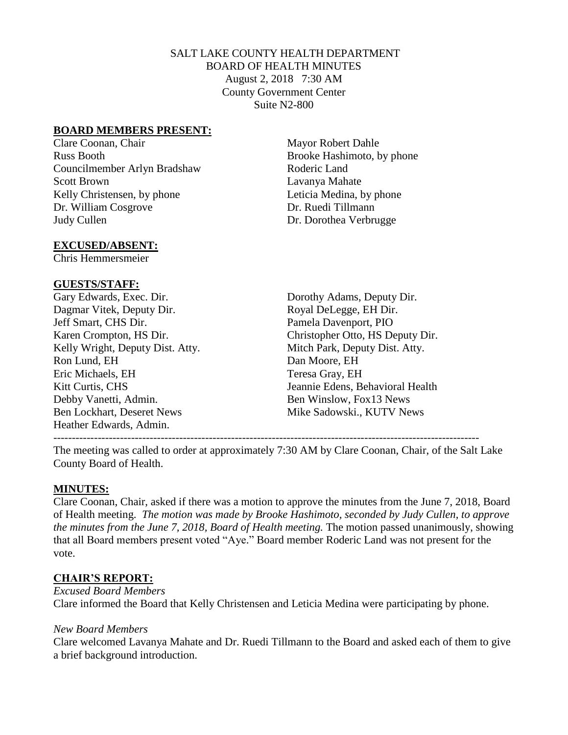#### SALT LAKE COUNTY HEALTH DEPARTMENT BOARD OF HEALTH MINUTES August 2, 2018 7:30 AM County Government Center Suite N2-800

#### **BOARD MEMBERS PRESENT:**

Clare Coonan, Chair Mayor Robert Dahle Russ Booth Brooke Hashimoto, by phone Councilmember Arlyn Bradshaw Roderic Land Scott Brown Lavanya Mahate Kelly Christensen, by phone Leticia Medina, by phone Dr. William Cosgrove Dr. Ruedi Tillmann Judy Cullen Dr. Dorothea Verbrugge

#### **EXCUSED/ABSENT:**

Chris Hemmersmeier

#### **GUESTS/STAFF:**

Gary Edwards, Exec. Dir. Dorothy Adams, Deputy Dir. Dagmar Vitek, Deputy Dir. Royal DeLegge, EH Dir. Jeff Smart, CHS Dir. Pamela Davenport, PIO Kelly Wright, Deputy Dist. Atty. Mitch Park, Deputy Dist. Atty. Ron Lund, EH Dan Moore, EH Eric Michaels, EH Teresa Gray, EH Debby Vanetti, Admin. Ben Winslow, Fox13 News Ben Lockhart, Deseret News **Mike Sadowski., KUTV News** Heather Edwards, Admin.

Karen Crompton, HS Dir. Christopher Otto, HS Deputy Dir. Kitt Curtis, CHS Jeannie Edens, Behavioral Health

The meeting was called to order at approximately 7:30 AM by Clare Coonan, Chair, of the Salt Lake

County Board of Health.

#### **MINUTES:**

Clare Coonan, Chair, asked if there was a motion to approve the minutes from the June 7, 2018, Board of Health meeting. *The motion was made by Brooke Hashimoto, seconded by Judy Cullen, to approve the minutes from the June 7, 2018, Board of Health meeting. The motion passed unanimously, showing* that all Board members present voted "Aye." Board member Roderic Land was not present for the vote.

## **CHAIR'S REPORT:**

*Excused Board Members* Clare informed the Board that Kelly Christensen and Leticia Medina were participating by phone.

#### *New Board Members*

Clare welcomed Lavanya Mahate and Dr. Ruedi Tillmann to the Board and asked each of them to give a brief background introduction.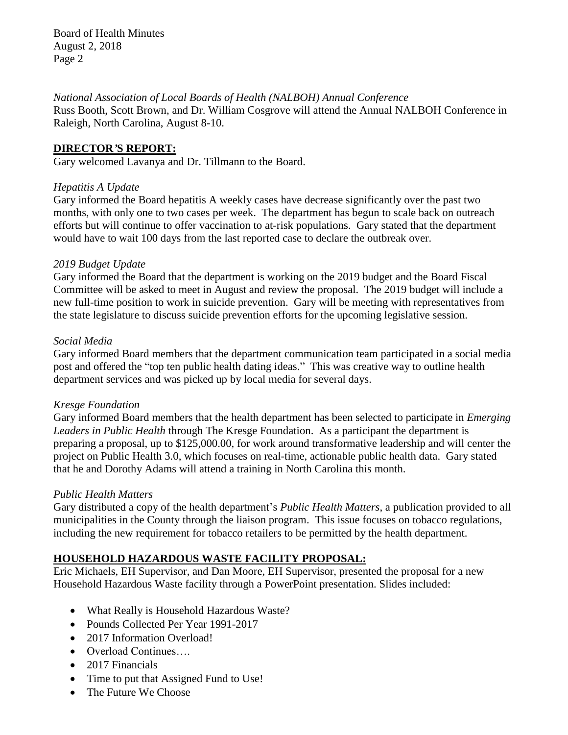Board of Health Minutes August 2, 2018 Page 2

#### *National Association of Local Boards of Health (NALBOH) Annual Conference*

Russ Booth, Scott Brown, and Dr. William Cosgrove will attend the Annual NALBOH Conference in Raleigh, North Carolina, August 8-10.

## **DIRECTOR***'***S REPORT:**

Gary welcomed Lavanya and Dr. Tillmann to the Board.

## *Hepatitis A Update*

Gary informed the Board hepatitis A weekly cases have decrease significantly over the past two months, with only one to two cases per week. The department has begun to scale back on outreach efforts but will continue to offer vaccination to at-risk populations. Gary stated that the department would have to wait 100 days from the last reported case to declare the outbreak over.

## *2019 Budget Update*

Gary informed the Board that the department is working on the 2019 budget and the Board Fiscal Committee will be asked to meet in August and review the proposal. The 2019 budget will include a new full-time position to work in suicide prevention. Gary will be meeting with representatives from the state legislature to discuss suicide prevention efforts for the upcoming legislative session.

## *Social Media*

Gary informed Board members that the department communication team participated in a social media post and offered the "top ten public health dating ideas." This was creative way to outline health department services and was picked up by local media for several days.

## *Kresge Foundation*

Gary informed Board members that the health department has been selected to participate in *Emerging Leaders in Public Health* through The Kresge Foundation. As a participant the department is preparing a proposal, up to \$125,000.00, for work around transformative leadership and will center the project on Public Health 3.0, which focuses on real-time, actionable public health data. Gary stated that he and Dorothy Adams will attend a training in North Carolina this month.

# *Public Health Matters*

Gary distributed a copy of the health department's *Public Health Matters*, a publication provided to all municipalities in the County through the liaison program. This issue focuses on tobacco regulations, including the new requirement for tobacco retailers to be permitted by the health department.

# **HOUSEHOLD HAZARDOUS WASTE FACILITY PROPOSAL:**

Eric Michaels, EH Supervisor, and Dan Moore, EH Supervisor, presented the proposal for a new Household Hazardous Waste facility through a PowerPoint presentation. Slides included:

- What Really is Household Hazardous Waste?
- Pounds Collected Per Year 1991-2017
- 2017 Information Overload!
- Overload Continues....
- 2017 Financials
- Time to put that Assigned Fund to Use!
- The Future We Choose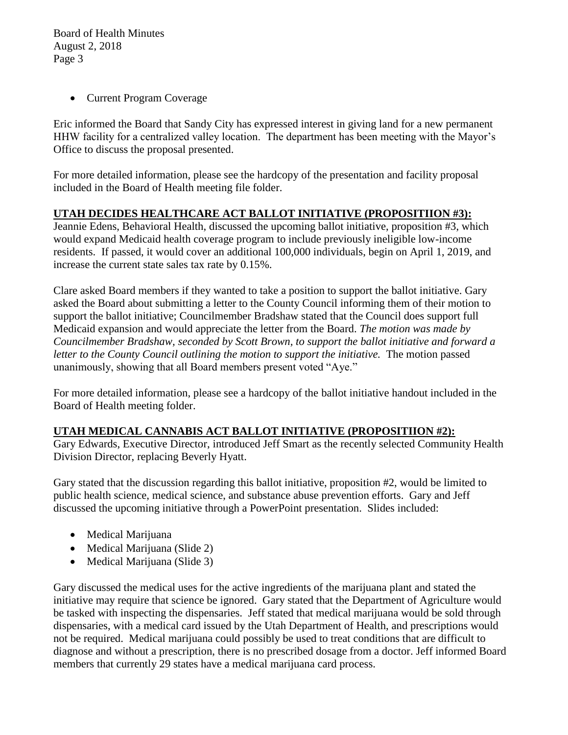Board of Health Minutes August 2, 2018 Page 3

• Current Program Coverage

Eric informed the Board that Sandy City has expressed interest in giving land for a new permanent HHW facility for a centralized valley location. The department has been meeting with the Mayor's Office to discuss the proposal presented.

For more detailed information, please see the hardcopy of the presentation and facility proposal included in the Board of Health meeting file folder.

# **UTAH DECIDES HEALTHCARE ACT BALLOT INITIATIVE (PROPOSITIION #3):**

Jeannie Edens, Behavioral Health, discussed the upcoming ballot initiative, proposition #3, which would expand Medicaid health coverage program to include previously ineligible low-income residents. If passed, it would cover an additional 100,000 individuals, begin on April 1, 2019, and increase the current state sales tax rate by 0.15%.

Clare asked Board members if they wanted to take a position to support the ballot initiative. Gary asked the Board about submitting a letter to the County Council informing them of their motion to support the ballot initiative; Councilmember Bradshaw stated that the Council does support full Medicaid expansion and would appreciate the letter from the Board. *The motion was made by Councilmember Bradshaw, seconded by Scott Brown, to support the ballot initiative and forward a letter to the County Council outlining the motion to support the initiative.* The motion passed unanimously, showing that all Board members present voted "Aye."

For more detailed information, please see a hardcopy of the ballot initiative handout included in the Board of Health meeting folder.

# **UTAH MEDICAL CANNABIS ACT BALLOT INITIATIVE (PROPOSITIION #2):**

Gary Edwards, Executive Director, introduced Jeff Smart as the recently selected Community Health Division Director, replacing Beverly Hyatt.

Gary stated that the discussion regarding this ballot initiative, proposition #2, would be limited to public health science, medical science, and substance abuse prevention efforts. Gary and Jeff discussed the upcoming initiative through a PowerPoint presentation. Slides included:

- Medical Marijuana
- Medical Marijuana (Slide 2)
- Medical Marijuana (Slide 3)

Gary discussed the medical uses for the active ingredients of the marijuana plant and stated the initiative may require that science be ignored. Gary stated that the Department of Agriculture would be tasked with inspecting the dispensaries. Jeff stated that medical marijuana would be sold through dispensaries, with a medical card issued by the Utah Department of Health, and prescriptions would not be required. Medical marijuana could possibly be used to treat conditions that are difficult to diagnose and without a prescription, there is no prescribed dosage from a doctor. Jeff informed Board members that currently 29 states have a medical marijuana card process.